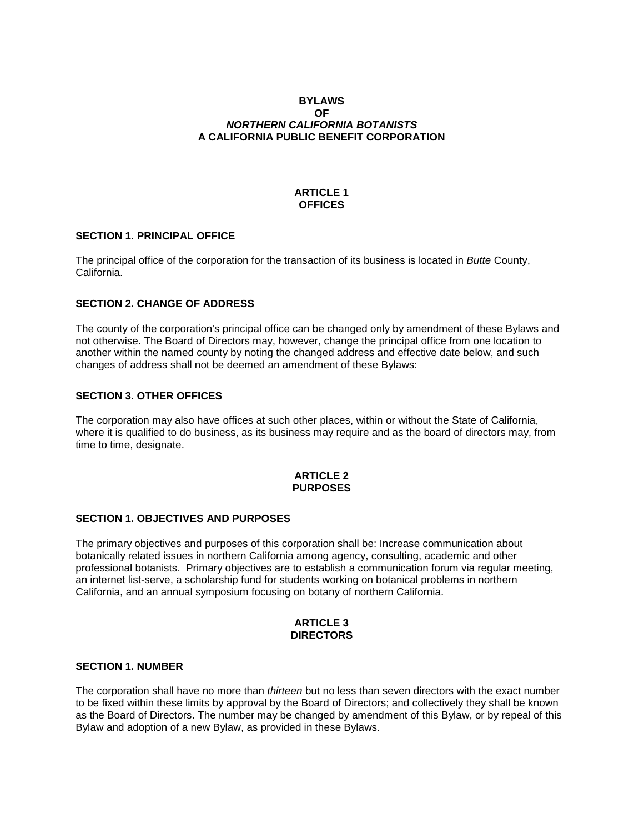### **BYLAWS OF** *NORTHERN CALIFORNIA BOTANISTS* **A CALIFORNIA PUBLIC BENEFIT CORPORATION**

#### **ARTICLE 1 OFFICES**

#### **SECTION 1. PRINCIPAL OFFICE**

The principal office of the corporation for the transaction of its business is located in *Butte* County, California.

### **SECTION 2. CHANGE OF ADDRESS**

The county of the corporation's principal office can be changed only by amendment of these Bylaws and not otherwise. The Board of Directors may, however, change the principal office from one location to another within the named county by noting the changed address and effective date below, and such changes of address shall not be deemed an amendment of these Bylaws:

### **SECTION 3. OTHER OFFICES**

The corporation may also have offices at such other places, within or without the State of California, where it is qualified to do business, as its business may require and as the board of directors may, from time to time, designate.

#### **ARTICLE 2 PURPOSES**

#### **SECTION 1. OBJECTIVES AND PURPOSES**

The primary objectives and purposes of this corporation shall be: Increase communication about botanically related issues in northern California among agency, consulting, academic and other professional botanists. Primary objectives are to establish a communication forum via regular meeting, an internet list-serve, a scholarship fund for students working on botanical problems in northern California, and an annual symposium focusing on botany of northern California.

#### **ARTICLE 3 DIRECTORS**

#### **SECTION 1. NUMBER**

The corporation shall have no more than *thirteen* but no less than seven directors with the exact number to be fixed within these limits by approval by the Board of Directors; and collectively they shall be known as the Board of Directors. The number may be changed by amendment of this Bylaw, or by repeal of this Bylaw and adoption of a new Bylaw, as provided in these Bylaws.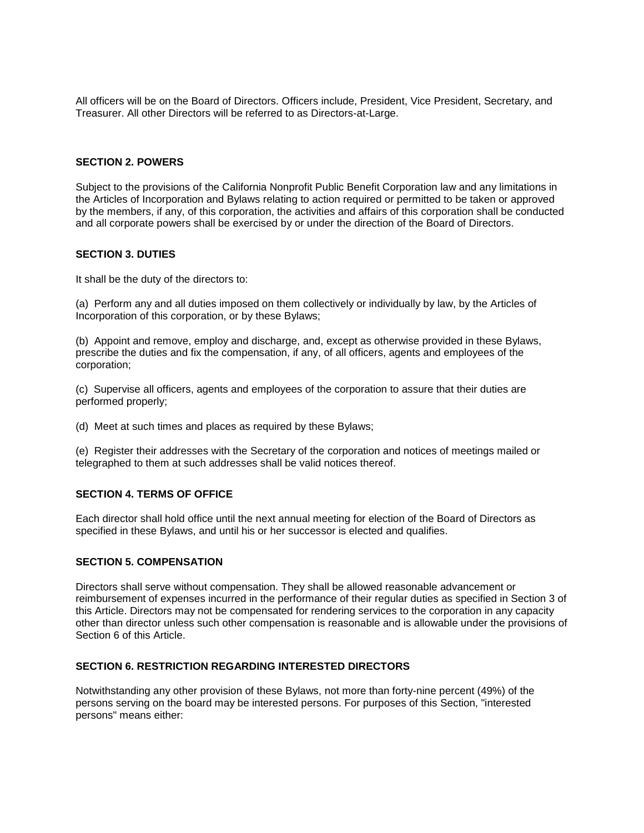All officers will be on the Board of Directors. Officers include, President, Vice President, Secretary, and Treasurer. All other Directors will be referred to as Directors-at-Large.

### **SECTION 2. POWERS**

Subject to the provisions of the California Nonprofit Public Benefit Corporation law and any limitations in the Articles of Incorporation and Bylaws relating to action required or permitted to be taken or approved by the members, if any, of this corporation, the activities and affairs of this corporation shall be conducted and all corporate powers shall be exercised by or under the direction of the Board of Directors.

### **SECTION 3. DUTIES**

It shall be the duty of the directors to:

(a) Perform any and all duties imposed on them collectively or individually by law, by the Articles of Incorporation of this corporation, or by these Bylaws;

(b) Appoint and remove, employ and discharge, and, except as otherwise provided in these Bylaws, prescribe the duties and fix the compensation, if any, of all officers, agents and employees of the corporation;

(c) Supervise all officers, agents and employees of the corporation to assure that their duties are performed properly;

(d) Meet at such times and places as required by these Bylaws;

(e) Register their addresses with the Secretary of the corporation and notices of meetings mailed or telegraphed to them at such addresses shall be valid notices thereof.

#### **SECTION 4. TERMS OF OFFICE**

Each director shall hold office until the next annual meeting for election of the Board of Directors as specified in these Bylaws, and until his or her successor is elected and qualifies.

### **SECTION 5. COMPENSATION**

Directors shall serve without compensation. They shall be allowed reasonable advancement or reimbursement of expenses incurred in the performance of their regular duties as specified in Section 3 of this Article. Directors may not be compensated for rendering services to the corporation in any capacity other than director unless such other compensation is reasonable and is allowable under the provisions of Section 6 of this Article.

### **SECTION 6. RESTRICTION REGARDING INTERESTED DIRECTORS**

Notwithstanding any other provision of these Bylaws, not more than forty-nine percent (49%) of the persons serving on the board may be interested persons. For purposes of this Section, "interested persons" means either: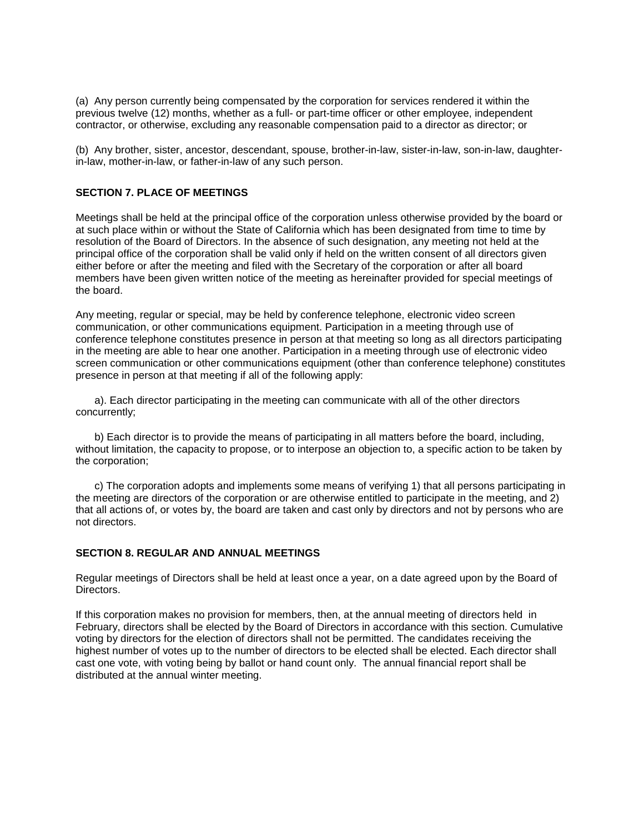(a) Any person currently being compensated by the corporation for services rendered it within the previous twelve (12) months, whether as a full- or part-time officer or other employee, independent contractor, or otherwise, excluding any reasonable compensation paid to a director as director; or

(b) Any brother, sister, ancestor, descendant, spouse, brother-in-law, sister-in-law, son-in-law, daughterin-law, mother-in-law, or father-in-law of any such person.

#### **SECTION 7. PLACE OF MEETINGS**

Meetings shall be held at the principal office of the corporation unless otherwise provided by the board or at such place within or without the State of California which has been designated from time to time by resolution of the Board of Directors. In the absence of such designation, any meeting not held at the principal office of the corporation shall be valid only if held on the written consent of all directors given either before or after the meeting and filed with the Secretary of the corporation or after all board members have been given written notice of the meeting as hereinafter provided for special meetings of the board.

Any meeting, regular or special, may be held by conference telephone, electronic video screen communication, or other communications equipment. Participation in a meeting through use of conference telephone constitutes presence in person at that meeting so long as all directors participating in the meeting are able to hear one another. Participation in a meeting through use of electronic video screen communication or other communications equipment (other than conference telephone) constitutes presence in person at that meeting if all of the following apply:

a). Each director participating in the meeting can communicate with all of the other directors concurrently;

b) Each director is to provide the means of participating in all matters before the board, including, without limitation, the capacity to propose, or to interpose an objection to, a specific action to be taken by the corporation;

c) The corporation adopts and implements some means of verifying 1) that all persons participating in the meeting are directors of the corporation or are otherwise entitled to participate in the meeting, and 2) that all actions of, or votes by, the board are taken and cast only by directors and not by persons who are not directors.

#### **SECTION 8. REGULAR AND ANNUAL MEETINGS**

Regular meetings of Directors shall be held at least once a year, on a date agreed upon by the Board of Directors.

If this corporation makes no provision for members, then, at the annual meeting of directors held in February, directors shall be elected by the Board of Directors in accordance with this section. Cumulative voting by directors for the election of directors shall not be permitted. The candidates receiving the highest number of votes up to the number of directors to be elected shall be elected. Each director shall cast one vote, with voting being by ballot or hand count only. The annual financial report shall be distributed at the annual winter meeting.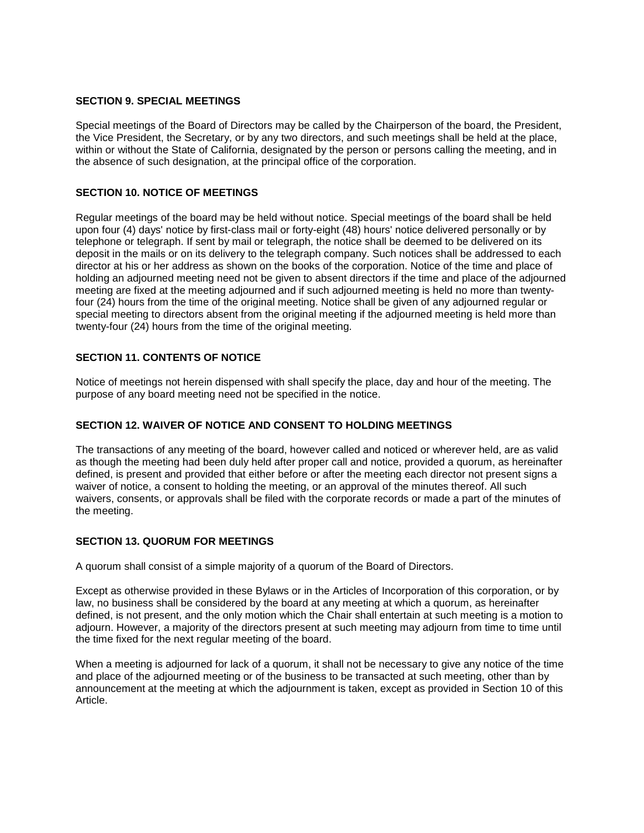### **SECTION 9. SPECIAL MEETINGS**

Special meetings of the Board of Directors may be called by the Chairperson of the board, the President, the Vice President, the Secretary, or by any two directors, and such meetings shall be held at the place, within or without the State of California, designated by the person or persons calling the meeting, and in the absence of such designation, at the principal office of the corporation.

### **SECTION 10. NOTICE OF MEETINGS**

Regular meetings of the board may be held without notice. Special meetings of the board shall be held upon four (4) days' notice by first-class mail or forty-eight (48) hours' notice delivered personally or by telephone or telegraph. If sent by mail or telegraph, the notice shall be deemed to be delivered on its deposit in the mails or on its delivery to the telegraph company. Such notices shall be addressed to each director at his or her address as shown on the books of the corporation. Notice of the time and place of holding an adjourned meeting need not be given to absent directors if the time and place of the adjourned meeting are fixed at the meeting adjourned and if such adjourned meeting is held no more than twentyfour (24) hours from the time of the original meeting. Notice shall be given of any adjourned regular or special meeting to directors absent from the original meeting if the adjourned meeting is held more than twenty-four (24) hours from the time of the original meeting.

### **SECTION 11. CONTENTS OF NOTICE**

Notice of meetings not herein dispensed with shall specify the place, day and hour of the meeting. The purpose of any board meeting need not be specified in the notice.

## **SECTION 12. WAIVER OF NOTICE AND CONSENT TO HOLDING MEETINGS**

The transactions of any meeting of the board, however called and noticed or wherever held, are as valid as though the meeting had been duly held after proper call and notice, provided a quorum, as hereinafter defined, is present and provided that either before or after the meeting each director not present signs a waiver of notice, a consent to holding the meeting, or an approval of the minutes thereof. All such waivers, consents, or approvals shall be filed with the corporate records or made a part of the minutes of the meeting.

#### **SECTION 13. QUORUM FOR MEETINGS**

A quorum shall consist of a simple majority of a quorum of the Board of Directors.

Except as otherwise provided in these Bylaws or in the Articles of Incorporation of this corporation, or by law, no business shall be considered by the board at any meeting at which a quorum, as hereinafter defined, is not present, and the only motion which the Chair shall entertain at such meeting is a motion to adjourn. However, a majority of the directors present at such meeting may adjourn from time to time until the time fixed for the next regular meeting of the board.

When a meeting is adjourned for lack of a quorum, it shall not be necessary to give any notice of the time and place of the adjourned meeting or of the business to be transacted at such meeting, other than by announcement at the meeting at which the adjournment is taken, except as provided in Section 10 of this Article.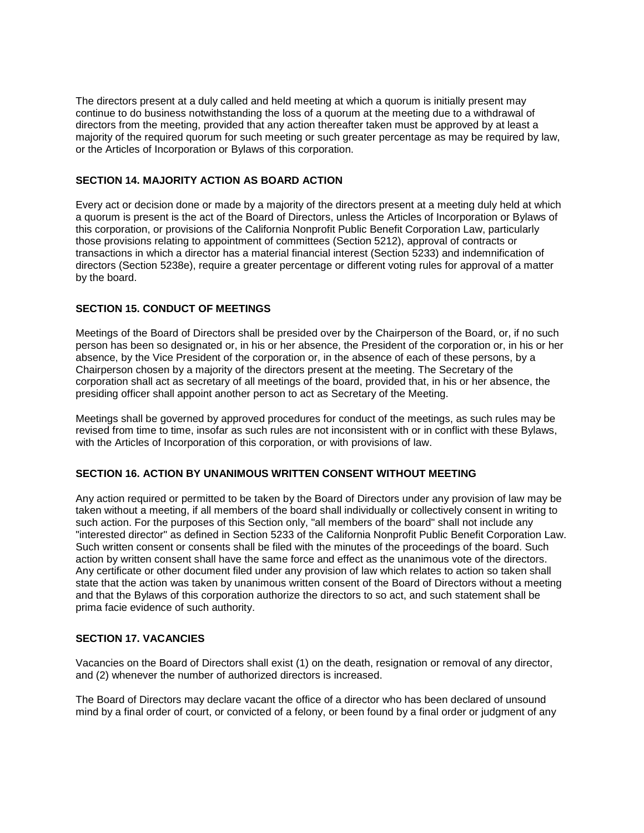The directors present at a duly called and held meeting at which a quorum is initially present may continue to do business notwithstanding the loss of a quorum at the meeting due to a withdrawal of directors from the meeting, provided that any action thereafter taken must be approved by at least a majority of the required quorum for such meeting or such greater percentage as may be required by law, or the Articles of Incorporation or Bylaws of this corporation.

### **SECTION 14. MAJORITY ACTION AS BOARD ACTION**

Every act or decision done or made by a majority of the directors present at a meeting duly held at which a quorum is present is the act of the Board of Directors, unless the Articles of Incorporation or Bylaws of this corporation, or provisions of the California Nonprofit Public Benefit Corporation Law, particularly those provisions relating to appointment of committees (Section 5212), approval of contracts or transactions in which a director has a material financial interest (Section 5233) and indemnification of directors (Section 5238e), require a greater percentage or different voting rules for approval of a matter by the board.

## **SECTION 15. CONDUCT OF MEETINGS**

Meetings of the Board of Directors shall be presided over by the Chairperson of the Board, or, if no such person has been so designated or, in his or her absence, the President of the corporation or, in his or her absence, by the Vice President of the corporation or, in the absence of each of these persons, by a Chairperson chosen by a majority of the directors present at the meeting. The Secretary of the corporation shall act as secretary of all meetings of the board, provided that, in his or her absence, the presiding officer shall appoint another person to act as Secretary of the Meeting.

Meetings shall be governed by approved procedures for conduct of the meetings, as such rules may be revised from time to time, insofar as such rules are not inconsistent with or in conflict with these Bylaws, with the Articles of Incorporation of this corporation, or with provisions of law.

#### **SECTION 16. ACTION BY UNANIMOUS WRITTEN CONSENT WITHOUT MEETING**

Any action required or permitted to be taken by the Board of Directors under any provision of law may be taken without a meeting, if all members of the board shall individually or collectively consent in writing to such action. For the purposes of this Section only, "all members of the board" shall not include any "interested director" as defined in Section 5233 of the California Nonprofit Public Benefit Corporation Law. Such written consent or consents shall be filed with the minutes of the proceedings of the board. Such action by written consent shall have the same force and effect as the unanimous vote of the directors. Any certificate or other document filed under any provision of law which relates to action so taken shall state that the action was taken by unanimous written consent of the Board of Directors without a meeting and that the Bylaws of this corporation authorize the directors to so act, and such statement shall be prima facie evidence of such authority.

#### **SECTION 17. VACANCIES**

Vacancies on the Board of Directors shall exist (1) on the death, resignation or removal of any director, and (2) whenever the number of authorized directors is increased.

The Board of Directors may declare vacant the office of a director who has been declared of unsound mind by a final order of court, or convicted of a felony, or been found by a final order or judgment of any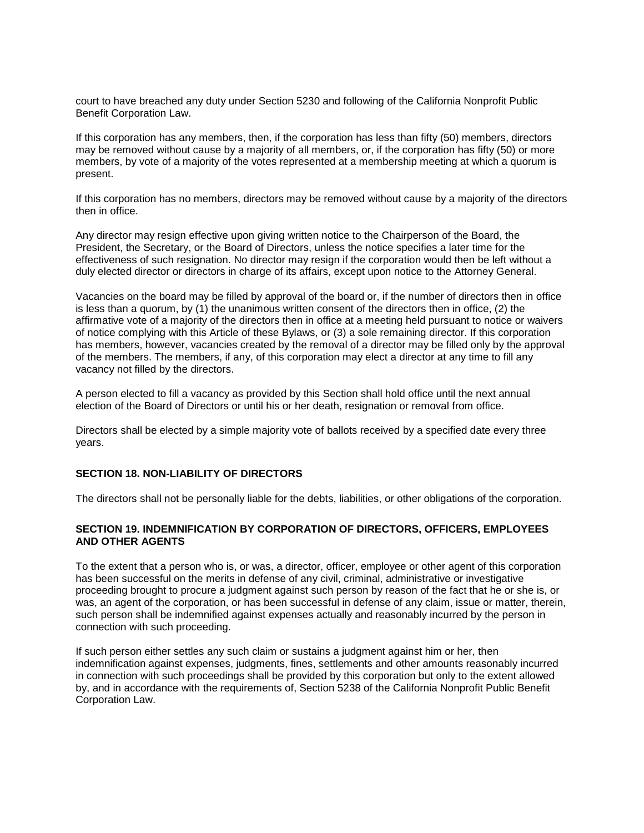court to have breached any duty under Section 5230 and following of the California Nonprofit Public Benefit Corporation Law.

If this corporation has any members, then, if the corporation has less than fifty (50) members, directors may be removed without cause by a majority of all members, or, if the corporation has fifty (50) or more members, by vote of a majority of the votes represented at a membership meeting at which a quorum is present.

If this corporation has no members, directors may be removed without cause by a majority of the directors then in office.

Any director may resign effective upon giving written notice to the Chairperson of the Board, the President, the Secretary, or the Board of Directors, unless the notice specifies a later time for the effectiveness of such resignation. No director may resign if the corporation would then be left without a duly elected director or directors in charge of its affairs, except upon notice to the Attorney General.

Vacancies on the board may be filled by approval of the board or, if the number of directors then in office is less than a quorum, by (1) the unanimous written consent of the directors then in office, (2) the affirmative vote of a majority of the directors then in office at a meeting held pursuant to notice or waivers of notice complying with this Article of these Bylaws, or (3) a sole remaining director. If this corporation has members, however, vacancies created by the removal of a director may be filled only by the approval of the members. The members, if any, of this corporation may elect a director at any time to fill any vacancy not filled by the directors.

A person elected to fill a vacancy as provided by this Section shall hold office until the next annual election of the Board of Directors or until his or her death, resignation or removal from office.

Directors shall be elected by a simple majority vote of ballots received by a specified date every three years.

#### **SECTION 18. NON-LIABILITY OF DIRECTORS**

The directors shall not be personally liable for the debts, liabilities, or other obligations of the corporation.

#### **SECTION 19. INDEMNIFICATION BY CORPORATION OF DIRECTORS, OFFICERS, EMPLOYEES AND OTHER AGENTS**

To the extent that a person who is, or was, a director, officer, employee or other agent of this corporation has been successful on the merits in defense of any civil, criminal, administrative or investigative proceeding brought to procure a judgment against such person by reason of the fact that he or she is, or was, an agent of the corporation, or has been successful in defense of any claim, issue or matter, therein, such person shall be indemnified against expenses actually and reasonably incurred by the person in connection with such proceeding.

If such person either settles any such claim or sustains a judgment against him or her, then indemnification against expenses, judgments, fines, settlements and other amounts reasonably incurred in connection with such proceedings shall be provided by this corporation but only to the extent allowed by, and in accordance with the requirements of, Section 5238 of the California Nonprofit Public Benefit Corporation Law.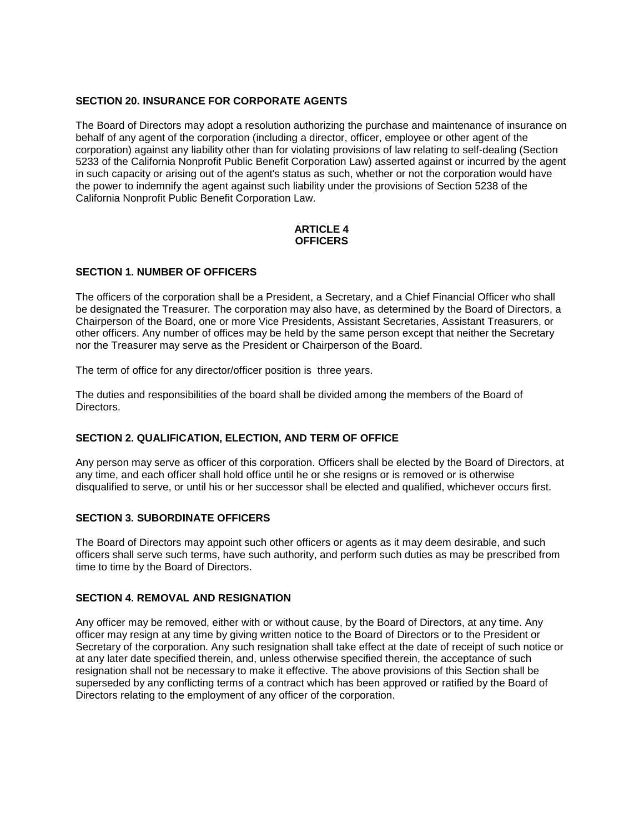## **SECTION 20. INSURANCE FOR CORPORATE AGENTS**

The Board of Directors may adopt a resolution authorizing the purchase and maintenance of insurance on behalf of any agent of the corporation (including a director, officer, employee or other agent of the corporation) against any liability other than for violating provisions of law relating to self-dealing (Section 5233 of the California Nonprofit Public Benefit Corporation Law) asserted against or incurred by the agent in such capacity or arising out of the agent's status as such, whether or not the corporation would have the power to indemnify the agent against such liability under the provisions of Section 5238 of the California Nonprofit Public Benefit Corporation Law.

### **ARTICLE 4 OFFICERS**

### **SECTION 1. NUMBER OF OFFICERS**

The officers of the corporation shall be a President, a Secretary, and a Chief Financial Officer who shall be designated the Treasurer*.* The corporation may also have, as determined by the Board of Directors, a Chairperson of the Board, one or more Vice Presidents, Assistant Secretaries, Assistant Treasurers, or other officers. Any number of offices may be held by the same person except that neither the Secretary nor the Treasurer may serve as the President or Chairperson of the Board.

The term of office for any director/officer position is three years.

The duties and responsibilities of the board shall be divided among the members of the Board of Directors.

#### **SECTION 2. QUALIFICATION, ELECTION, AND TERM OF OFFICE**

Any person may serve as officer of this corporation. Officers shall be elected by the Board of Directors, at any time, and each officer shall hold office until he or she resigns or is removed or is otherwise disqualified to serve, or until his or her successor shall be elected and qualified, whichever occurs first.

#### **SECTION 3. SUBORDINATE OFFICERS**

The Board of Directors may appoint such other officers or agents as it may deem desirable, and such officers shall serve such terms, have such authority, and perform such duties as may be prescribed from time to time by the Board of Directors.

#### **SECTION 4. REMOVAL AND RESIGNATION**

Any officer may be removed, either with or without cause, by the Board of Directors, at any time. Any officer may resign at any time by giving written notice to the Board of Directors or to the President or Secretary of the corporation. Any such resignation shall take effect at the date of receipt of such notice or at any later date specified therein, and, unless otherwise specified therein, the acceptance of such resignation shall not be necessary to make it effective. The above provisions of this Section shall be superseded by any conflicting terms of a contract which has been approved or ratified by the Board of Directors relating to the employment of any officer of the corporation.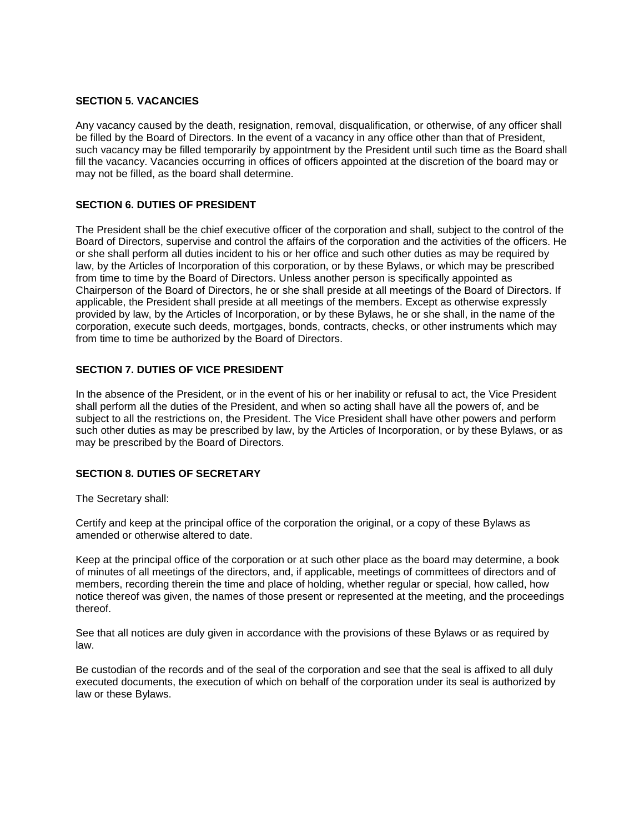#### **SECTION 5. VACANCIES**

Any vacancy caused by the death, resignation, removal, disqualification, or otherwise, of any officer shall be filled by the Board of Directors. In the event of a vacancy in any office other than that of President, such vacancy may be filled temporarily by appointment by the President until such time as the Board shall fill the vacancy. Vacancies occurring in offices of officers appointed at the discretion of the board may or may not be filled, as the board shall determine.

### **SECTION 6. DUTIES OF PRESIDENT**

The President shall be the chief executive officer of the corporation and shall, subject to the control of the Board of Directors, supervise and control the affairs of the corporation and the activities of the officers. He or she shall perform all duties incident to his or her office and such other duties as may be required by law, by the Articles of Incorporation of this corporation, or by these Bylaws, or which may be prescribed from time to time by the Board of Directors. Unless another person is specifically appointed as Chairperson of the Board of Directors, he or she shall preside at all meetings of the Board of Directors. If applicable, the President shall preside at all meetings of the members. Except as otherwise expressly provided by law, by the Articles of Incorporation, or by these Bylaws, he or she shall, in the name of the corporation, execute such deeds, mortgages, bonds, contracts, checks, or other instruments which may from time to time be authorized by the Board of Directors.

#### **SECTION 7. DUTIES OF VICE PRESIDENT**

In the absence of the President, or in the event of his or her inability or refusal to act, the Vice President shall perform all the duties of the President, and when so acting shall have all the powers of, and be subject to all the restrictions on, the President. The Vice President shall have other powers and perform such other duties as may be prescribed by law, by the Articles of Incorporation, or by these Bylaws, or as may be prescribed by the Board of Directors.

### **SECTION 8. DUTIES OF SECRETARY**

The Secretary shall:

Certify and keep at the principal office of the corporation the original, or a copy of these Bylaws as amended or otherwise altered to date.

Keep at the principal office of the corporation or at such other place as the board may determine, a book of minutes of all meetings of the directors, and, if applicable, meetings of committees of directors and of members, recording therein the time and place of holding, whether regular or special, how called, how notice thereof was given, the names of those present or represented at the meeting, and the proceedings thereof.

See that all notices are duly given in accordance with the provisions of these Bylaws or as required by law.

Be custodian of the records and of the seal of the corporation and see that the seal is affixed to all duly executed documents, the execution of which on behalf of the corporation under its seal is authorized by law or these Bylaws.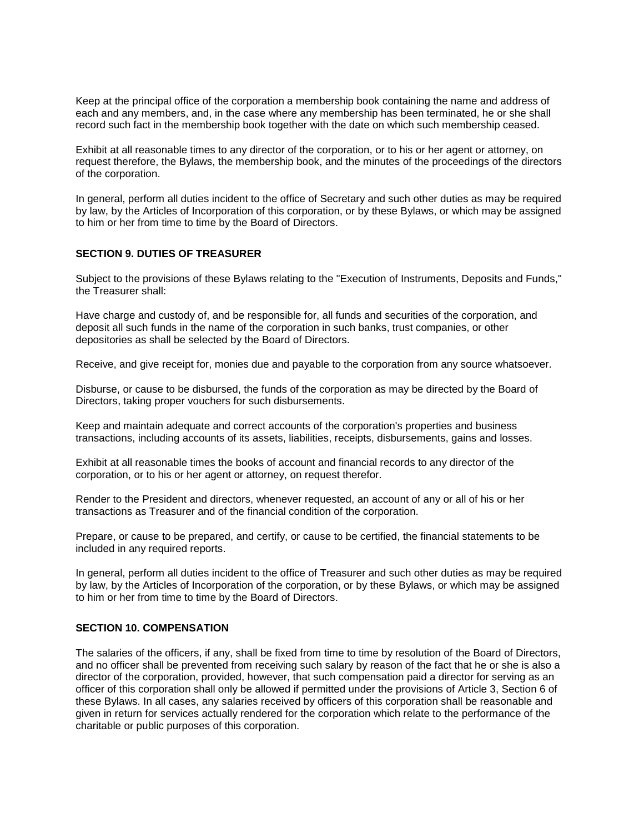Keep at the principal office of the corporation a membership book containing the name and address of each and any members, and, in the case where any membership has been terminated, he or she shall record such fact in the membership book together with the date on which such membership ceased.

Exhibit at all reasonable times to any director of the corporation, or to his or her agent or attorney, on request therefore, the Bylaws, the membership book, and the minutes of the proceedings of the directors of the corporation.

In general, perform all duties incident to the office of Secretary and such other duties as may be required by law, by the Articles of Incorporation of this corporation, or by these Bylaws, or which may be assigned to him or her from time to time by the Board of Directors.

#### **SECTION 9. DUTIES OF TREASURER**

Subject to the provisions of these Bylaws relating to the "Execution of Instruments, Deposits and Funds," the Treasurer shall:

Have charge and custody of, and be responsible for, all funds and securities of the corporation, and deposit all such funds in the name of the corporation in such banks, trust companies, or other depositories as shall be selected by the Board of Directors.

Receive, and give receipt for, monies due and payable to the corporation from any source whatsoever.

Disburse, or cause to be disbursed, the funds of the corporation as may be directed by the Board of Directors, taking proper vouchers for such disbursements.

Keep and maintain adequate and correct accounts of the corporation's properties and business transactions, including accounts of its assets, liabilities, receipts, disbursements, gains and losses.

Exhibit at all reasonable times the books of account and financial records to any director of the corporation, or to his or her agent or attorney, on request therefor.

Render to the President and directors, whenever requested, an account of any or all of his or her transactions as Treasurer and of the financial condition of the corporation.

Prepare, or cause to be prepared, and certify, or cause to be certified, the financial statements to be included in any required reports.

In general, perform all duties incident to the office of Treasurer and such other duties as may be required by law, by the Articles of Incorporation of the corporation, or by these Bylaws, or which may be assigned to him or her from time to time by the Board of Directors.

#### **SECTION 10. COMPENSATION**

The salaries of the officers, if any, shall be fixed from time to time by resolution of the Board of Directors, and no officer shall be prevented from receiving such salary by reason of the fact that he or she is also a director of the corporation, provided, however, that such compensation paid a director for serving as an officer of this corporation shall only be allowed if permitted under the provisions of Article 3, Section 6 of these Bylaws. In all cases, any salaries received by officers of this corporation shall be reasonable and given in return for services actually rendered for the corporation which relate to the performance of the charitable or public purposes of this corporation.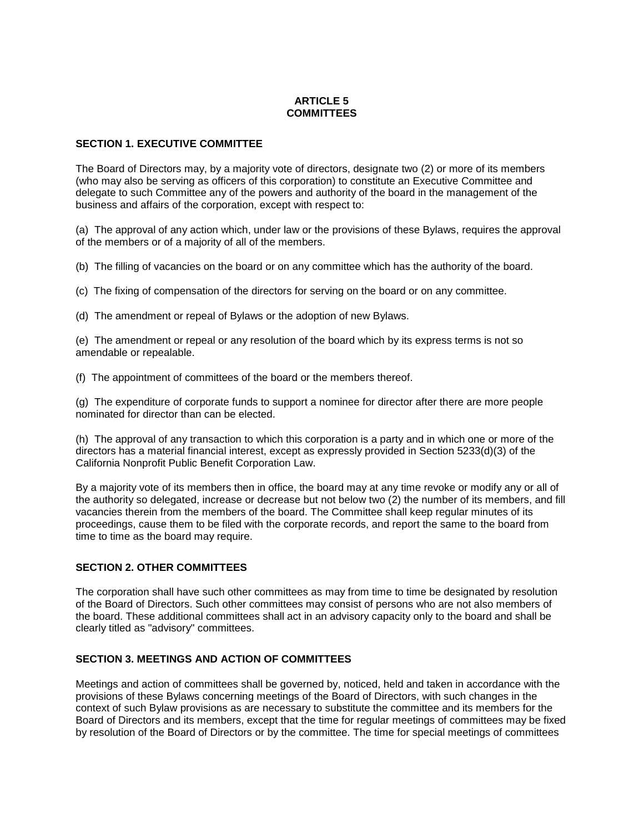## **ARTICLE 5 COMMITTEES**

#### **SECTION 1. EXECUTIVE COMMITTEE**

The Board of Directors may, by a majority vote of directors, designate two (2) or more of its members (who may also be serving as officers of this corporation) to constitute an Executive Committee and delegate to such Committee any of the powers and authority of the board in the management of the business and affairs of the corporation, except with respect to:

(a) The approval of any action which, under law or the provisions of these Bylaws, requires the approval of the members or of a majority of all of the members.

(b) The filling of vacancies on the board or on any committee which has the authority of the board.

(c) The fixing of compensation of the directors for serving on the board or on any committee.

(d) The amendment or repeal of Bylaws or the adoption of new Bylaws.

(e) The amendment or repeal or any resolution of the board which by its express terms is not so amendable or repealable.

(f) The appointment of committees of the board or the members thereof.

(g) The expenditure of corporate funds to support a nominee for director after there are more people nominated for director than can be elected.

(h) The approval of any transaction to which this corporation is a party and in which one or more of the directors has a material financial interest, except as expressly provided in Section 5233(d)(3) of the California Nonprofit Public Benefit Corporation Law.

By a majority vote of its members then in office, the board may at any time revoke or modify any or all of the authority so delegated, increase or decrease but not below two (2) the number of its members, and fill vacancies therein from the members of the board. The Committee shall keep regular minutes of its proceedings, cause them to be filed with the corporate records, and report the same to the board from time to time as the board may require.

#### **SECTION 2. OTHER COMMITTEES**

The corporation shall have such other committees as may from time to time be designated by resolution of the Board of Directors. Such other committees may consist of persons who are not also members of the board. These additional committees shall act in an advisory capacity only to the board and shall be clearly titled as "advisory" committees.

### **SECTION 3. MEETINGS AND ACTION OF COMMITTEES**

Meetings and action of committees shall be governed by, noticed, held and taken in accordance with the provisions of these Bylaws concerning meetings of the Board of Directors, with such changes in the context of such Bylaw provisions as are necessary to substitute the committee and its members for the Board of Directors and its members, except that the time for regular meetings of committees may be fixed by resolution of the Board of Directors or by the committee. The time for special meetings of committees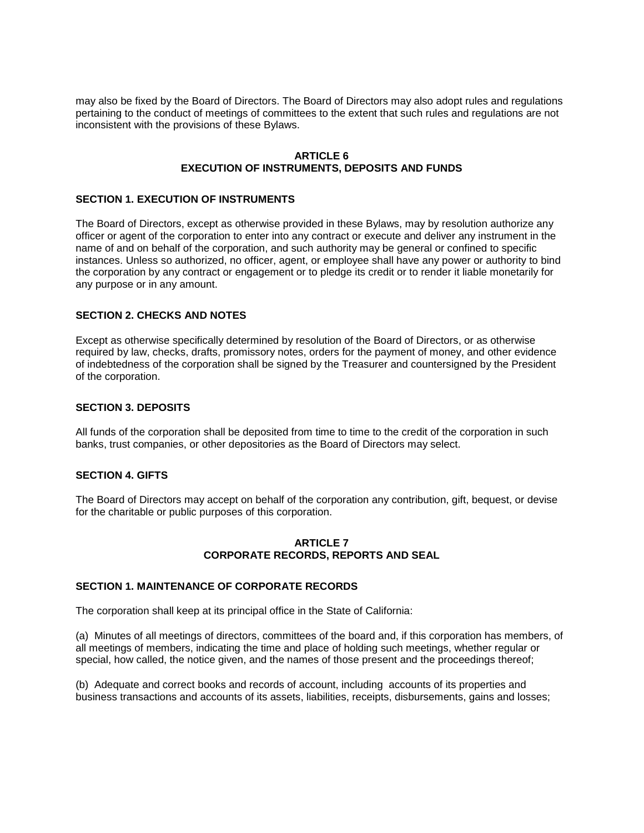may also be fixed by the Board of Directors. The Board of Directors may also adopt rules and regulations pertaining to the conduct of meetings of committees to the extent that such rules and regulations are not inconsistent with the provisions of these Bylaws.

#### **ARTICLE 6 EXECUTION OF INSTRUMENTS, DEPOSITS AND FUNDS**

## **SECTION 1. EXECUTION OF INSTRUMENTS**

The Board of Directors, except as otherwise provided in these Bylaws, may by resolution authorize any officer or agent of the corporation to enter into any contract or execute and deliver any instrument in the name of and on behalf of the corporation, and such authority may be general or confined to specific instances. Unless so authorized, no officer, agent, or employee shall have any power or authority to bind the corporation by any contract or engagement or to pledge its credit or to render it liable monetarily for any purpose or in any amount.

### **SECTION 2. CHECKS AND NOTES**

Except as otherwise specifically determined by resolution of the Board of Directors, or as otherwise required by law, checks, drafts, promissory notes, orders for the payment of money, and other evidence of indebtedness of the corporation shall be signed by the Treasurer and countersigned by the President of the corporation.

#### **SECTION 3. DEPOSITS**

All funds of the corporation shall be deposited from time to time to the credit of the corporation in such banks, trust companies, or other depositories as the Board of Directors may select.

#### **SECTION 4. GIFTS**

The Board of Directors may accept on behalf of the corporation any contribution, gift, bequest, or devise for the charitable or public purposes of this corporation.

#### **ARTICLE 7 CORPORATE RECORDS, REPORTS AND SEAL**

#### **SECTION 1. MAINTENANCE OF CORPORATE RECORDS**

The corporation shall keep at its principal office in the State of California:

(a) Minutes of all meetings of directors, committees of the board and, if this corporation has members, of all meetings of members, indicating the time and place of holding such meetings, whether regular or special, how called, the notice given, and the names of those present and the proceedings thereof;

(b) Adequate and correct books and records of account, including accounts of its properties and business transactions and accounts of its assets, liabilities, receipts, disbursements, gains and losses;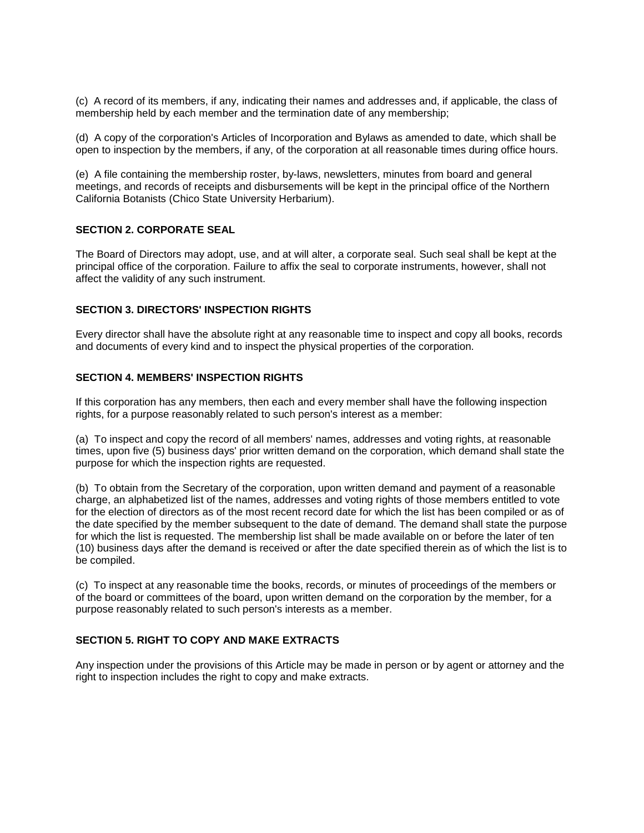(c) A record of its members, if any, indicating their names and addresses and, if applicable, the class of membership held by each member and the termination date of any membership;

(d) A copy of the corporation's Articles of Incorporation and Bylaws as amended to date, which shall be open to inspection by the members, if any, of the corporation at all reasonable times during office hours.

(e) A file containing the membership roster, by-laws, newsletters, minutes from board and general meetings, and records of receipts and disbursements will be kept in the principal office of the Northern California Botanists (Chico State University Herbarium).

#### **SECTION 2. CORPORATE SEAL**

The Board of Directors may adopt, use, and at will alter, a corporate seal. Such seal shall be kept at the principal office of the corporation. Failure to affix the seal to corporate instruments, however, shall not affect the validity of any such instrument.

## **SECTION 3. DIRECTORS' INSPECTION RIGHTS**

Every director shall have the absolute right at any reasonable time to inspect and copy all books, records and documents of every kind and to inspect the physical properties of the corporation.

### **SECTION 4. MEMBERS' INSPECTION RIGHTS**

If this corporation has any members, then each and every member shall have the following inspection rights, for a purpose reasonably related to such person's interest as a member:

(a) To inspect and copy the record of all members' names, addresses and voting rights, at reasonable times, upon five (5) business days' prior written demand on the corporation, which demand shall state the purpose for which the inspection rights are requested.

(b) To obtain from the Secretary of the corporation, upon written demand and payment of a reasonable charge, an alphabetized list of the names, addresses and voting rights of those members entitled to vote for the election of directors as of the most recent record date for which the list has been compiled or as of the date specified by the member subsequent to the date of demand. The demand shall state the purpose for which the list is requested. The membership list shall be made available on or before the later of ten (10) business days after the demand is received or after the date specified therein as of which the list is to be compiled.

(c) To inspect at any reasonable time the books, records, or minutes of proceedings of the members or of the board or committees of the board, upon written demand on the corporation by the member, for a purpose reasonably related to such person's interests as a member.

#### **SECTION 5. RIGHT TO COPY AND MAKE EXTRACTS**

Any inspection under the provisions of this Article may be made in person or by agent or attorney and the right to inspection includes the right to copy and make extracts.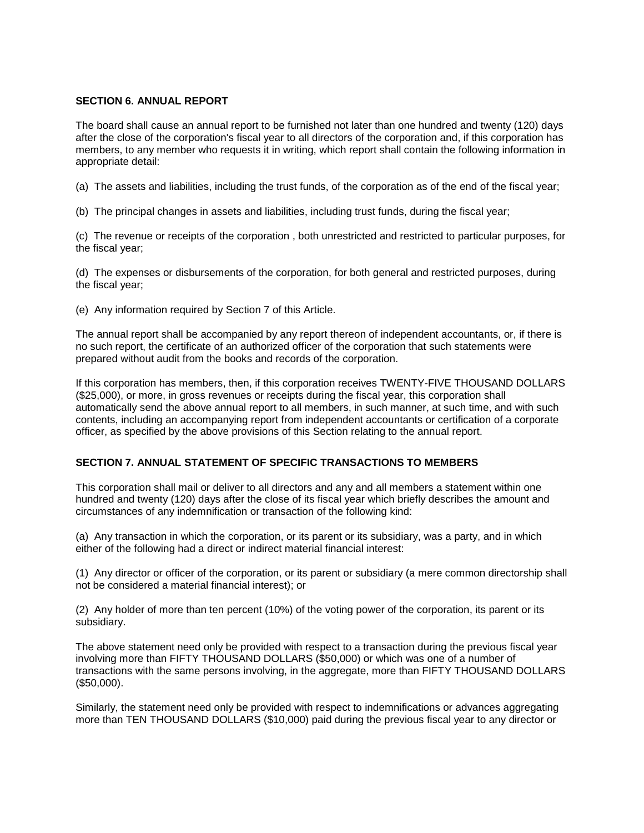### **SECTION 6. ANNUAL REPORT**

The board shall cause an annual report to be furnished not later than one hundred and twenty (120) days after the close of the corporation's fiscal year to all directors of the corporation and, if this corporation has members, to any member who requests it in writing, which report shall contain the following information in appropriate detail:

(a) The assets and liabilities, including the trust funds, of the corporation as of the end of the fiscal year;

(b) The principal changes in assets and liabilities, including trust funds, during the fiscal year;

(c) The revenue or receipts of the corporation , both unrestricted and restricted to particular purposes, for the fiscal year;

(d) The expenses or disbursements of the corporation, for both general and restricted purposes, during the fiscal year;

(e) Any information required by Section 7 of this Article.

The annual report shall be accompanied by any report thereon of independent accountants, or, if there is no such report, the certificate of an authorized officer of the corporation that such statements were prepared without audit from the books and records of the corporation.

If this corporation has members, then, if this corporation receives TWENTY-FIVE THOUSAND DOLLARS (\$25,000), or more, in gross revenues or receipts during the fiscal year, this corporation shall automatically send the above annual report to all members, in such manner, at such time, and with such contents, including an accompanying report from independent accountants or certification of a corporate officer, as specified by the above provisions of this Section relating to the annual report.

#### **SECTION 7. ANNUAL STATEMENT OF SPECIFIC TRANSACTIONS TO MEMBERS**

This corporation shall mail or deliver to all directors and any and all members a statement within one hundred and twenty (120) days after the close of its fiscal year which briefly describes the amount and circumstances of any indemnification or transaction of the following kind:

(a) Any transaction in which the corporation, or its parent or its subsidiary, was a party, and in which either of the following had a direct or indirect material financial interest:

(1) Any director or officer of the corporation, or its parent or subsidiary (a mere common directorship shall not be considered a material financial interest); or

(2) Any holder of more than ten percent (10%) of the voting power of the corporation, its parent or its subsidiary.

The above statement need only be provided with respect to a transaction during the previous fiscal year involving more than FIFTY THOUSAND DOLLARS (\$50,000) or which was one of a number of transactions with the same persons involving, in the aggregate, more than FIFTY THOUSAND DOLLARS (\$50,000).

Similarly, the statement need only be provided with respect to indemnifications or advances aggregating more than TEN THOUSAND DOLLARS (\$10,000) paid during the previous fiscal year to any director or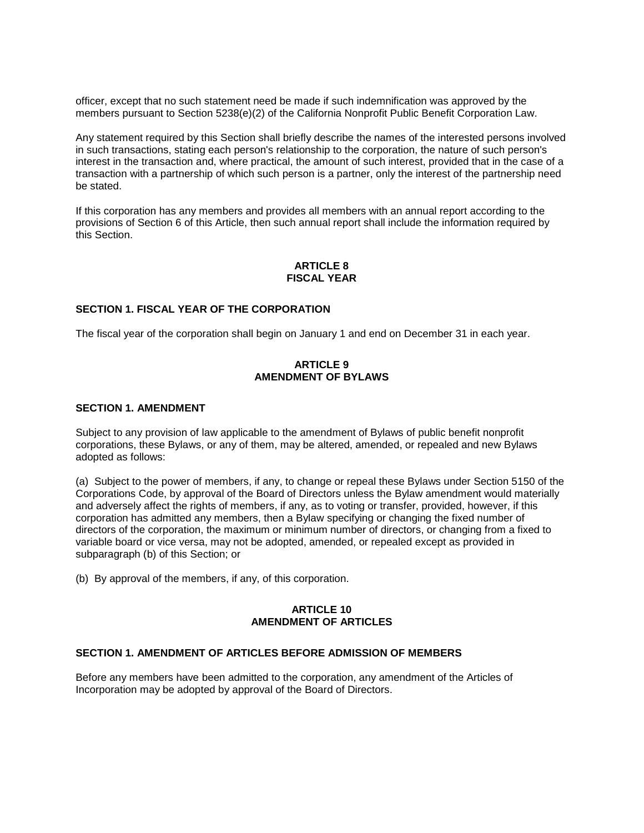officer, except that no such statement need be made if such indemnification was approved by the members pursuant to Section 5238(e)(2) of the California Nonprofit Public Benefit Corporation Law.

Any statement required by this Section shall briefly describe the names of the interested persons involved in such transactions, stating each person's relationship to the corporation, the nature of such person's interest in the transaction and, where practical, the amount of such interest, provided that in the case of a transaction with a partnership of which such person is a partner, only the interest of the partnership need be stated.

If this corporation has any members and provides all members with an annual report according to the provisions of Section 6 of this Article, then such annual report shall include the information required by this Section.

## **ARTICLE 8 FISCAL YEAR**

#### **SECTION 1. FISCAL YEAR OF THE CORPORATION**

The fiscal year of the corporation shall begin on January 1 and end on December 31 in each year.

#### **ARTICLE 9 AMENDMENT OF BYLAWS**

#### **SECTION 1. AMENDMENT**

Subject to any provision of law applicable to the amendment of Bylaws of public benefit nonprofit corporations, these Bylaws, or any of them, may be altered, amended, or repealed and new Bylaws adopted as follows:

(a) Subject to the power of members, if any, to change or repeal these Bylaws under Section 5150 of the Corporations Code, by approval of the Board of Directors unless the Bylaw amendment would materially and adversely affect the rights of members, if any, as to voting or transfer, provided, however, if this corporation has admitted any members, then a Bylaw specifying or changing the fixed number of directors of the corporation, the maximum or minimum number of directors, or changing from a fixed to variable board or vice versa, may not be adopted, amended, or repealed except as provided in subparagraph (b) of this Section; or

(b) By approval of the members, if any, of this corporation.

#### **ARTICLE 10 AMENDMENT OF ARTICLES**

### **SECTION 1. AMENDMENT OF ARTICLES BEFORE ADMISSION OF MEMBERS**

Before any members have been admitted to the corporation, any amendment of the Articles of Incorporation may be adopted by approval of the Board of Directors.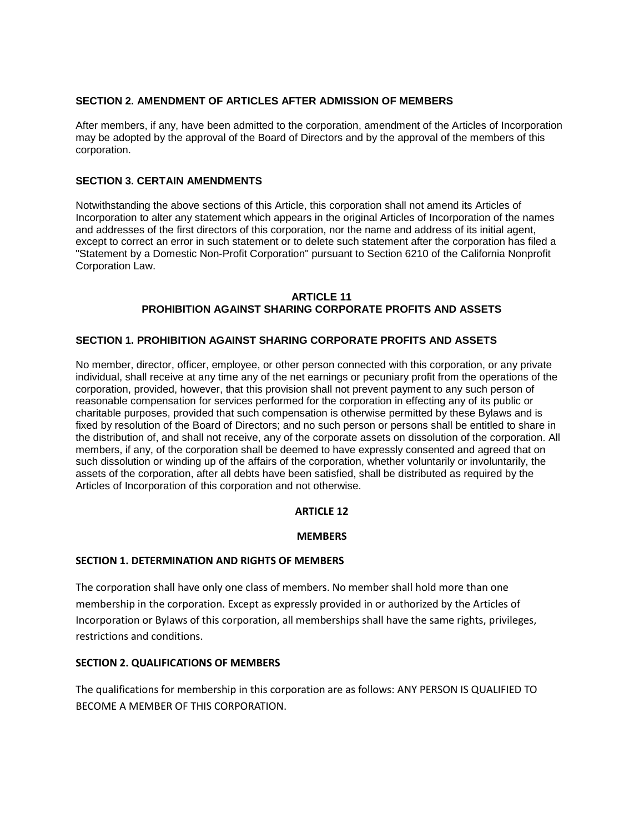## **SECTION 2. AMENDMENT OF ARTICLES AFTER ADMISSION OF MEMBERS**

After members, if any, have been admitted to the corporation, amendment of the Articles of Incorporation may be adopted by the approval of the Board of Directors and by the approval of the members of this corporation.

#### **SECTION 3. CERTAIN AMENDMENTS**

Notwithstanding the above sections of this Article, this corporation shall not amend its Articles of Incorporation to alter any statement which appears in the original Articles of Incorporation of the names and addresses of the first directors of this corporation, nor the name and address of its initial agent, except to correct an error in such statement or to delete such statement after the corporation has filed a "Statement by a Domestic Non-Profit Corporation" pursuant to Section 6210 of the California Nonprofit Corporation Law.

#### **ARTICLE 11 PROHIBITION AGAINST SHARING CORPORATE PROFITS AND ASSETS**

#### **SECTION 1. PROHIBITION AGAINST SHARING CORPORATE PROFITS AND ASSETS**

No member, director, officer, employee, or other person connected with this corporation, or any private individual, shall receive at any time any of the net earnings or pecuniary profit from the operations of the corporation, provided, however, that this provision shall not prevent payment to any such person of reasonable compensation for services performed for the corporation in effecting any of its public or charitable purposes, provided that such compensation is otherwise permitted by these Bylaws and is fixed by resolution of the Board of Directors; and no such person or persons shall be entitled to share in the distribution of, and shall not receive, any of the corporate assets on dissolution of the corporation. All members, if any, of the corporation shall be deemed to have expressly consented and agreed that on such dissolution or winding up of the affairs of the corporation, whether voluntarily or involuntarily, the assets of the corporation, after all debts have been satisfied, shall be distributed as required by the Articles of Incorporation of this corporation and not otherwise.

#### **ARTICLE 12**

#### **MEMBERS**

#### **SECTION 1. DETERMINATION AND RIGHTS OF MEMBERS**

The corporation shall have only one class of members. No member shall hold more than one membership in the corporation. Except as expressly provided in or authorized by the Articles of Incorporation or Bylaws of this corporation, all memberships shall have the same rights, privileges, restrictions and conditions.

#### **SECTION 2. QUALIFICATIONS OF MEMBERS**

The qualifications for membership in this corporation are as follows: ANY PERSON IS QUALIFIED TO BECOME A MEMBER OF THIS CORPORATION.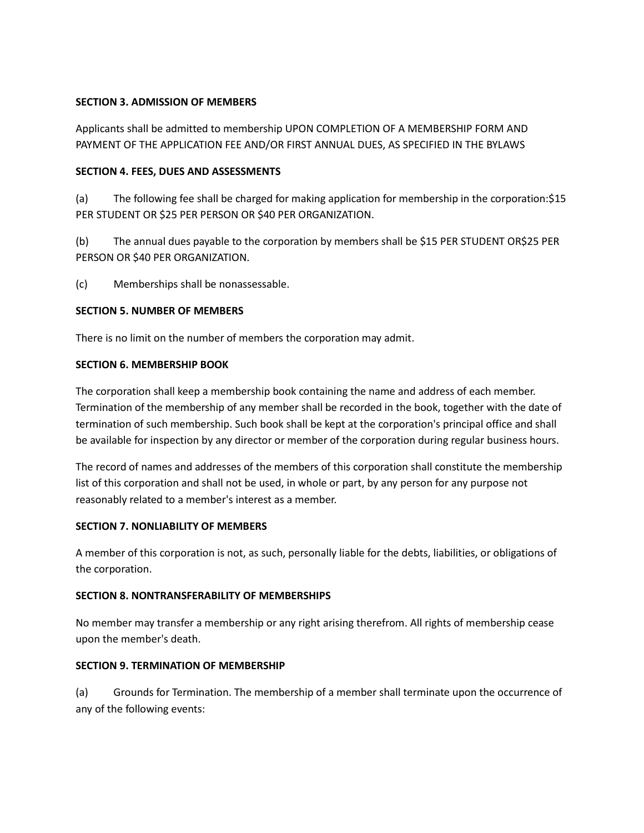## **SECTION 3. ADMISSION OF MEMBERS**

Applicants shall be admitted to membership UPON COMPLETION OF A MEMBERSHIP FORM AND PAYMENT OF THE APPLICATION FEE AND/OR FIRST ANNUAL DUES, AS SPECIFIED IN THE BYLAWS

## **SECTION 4. FEES, DUES AND ASSESSMENTS**

(a) The following fee shall be charged for making application for membership in the corporation:\$15 PER STUDENT OR \$25 PER PERSON OR \$40 PER ORGANIZATION.

(b) The annual dues payable to the corporation by members shall be \$15 PER STUDENT OR\$25 PER PERSON OR \$40 PER ORGANIZATION.

(c) Memberships shall be nonassessable.

### **SECTION 5. NUMBER OF MEMBERS**

There is no limit on the number of members the corporation may admit.

## **SECTION 6. MEMBERSHIP BOOK**

The corporation shall keep a membership book containing the name and address of each member. Termination of the membership of any member shall be recorded in the book, together with the date of termination of such membership. Such book shall be kept at the corporation's principal office and shall be available for inspection by any director or member of the corporation during regular business hours.

The record of names and addresses of the members of this corporation shall constitute the membership list of this corporation and shall not be used, in whole or part, by any person for any purpose not reasonably related to a member's interest as a member.

## **SECTION 7. NONLIABILITY OF MEMBERS**

A member of this corporation is not, as such, personally liable for the debts, liabilities, or obligations of the corporation.

### **SECTION 8. NONTRANSFERABILITY OF MEMBERSHIPS**

No member may transfer a membership or any right arising therefrom. All rights of membership cease upon the member's death.

## **SECTION 9. TERMINATION OF MEMBERSHIP**

(a) Grounds for Termination. The membership of a member shall terminate upon the occurrence of any of the following events: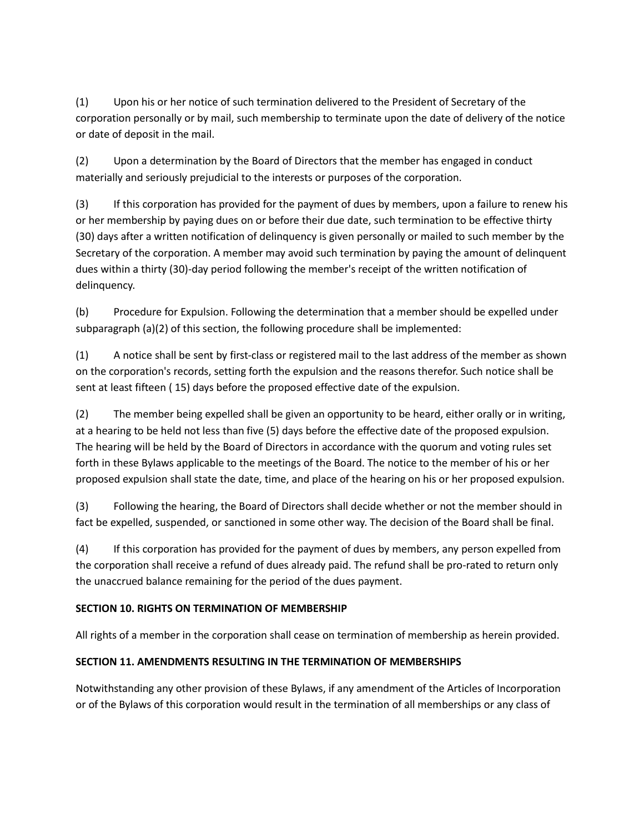(1) Upon his or her notice of such termination delivered to the President of Secretary of the corporation personally or by mail, such membership to terminate upon the date of delivery of the notice or date of deposit in the mail.

(2) Upon a determination by the Board of Directors that the member has engaged in conduct materially and seriously prejudicial to the interests or purposes of the corporation.

(3) If this corporation has provided for the payment of dues by members, upon a failure to renew his or her membership by paying dues on or before their due date, such termination to be effective thirty (30) days after a written notification of delinquency is given personally or mailed to such member by the Secretary of the corporation. A member may avoid such termination by paying the amount of delinquent dues within a thirty (30)-day period following the member's receipt of the written notification of delinquency.

(b) Procedure for Expulsion. Following the determination that a member should be expelled under subparagraph (a)(2) of this section, the following procedure shall be implemented:

(1) A notice shall be sent by first-class or registered mail to the last address of the member as shown on the corporation's records, setting forth the expulsion and the reasons therefor. Such notice shall be sent at least fifteen ( 15) days before the proposed effective date of the expulsion.

(2) The member being expelled shall be given an opportunity to be heard, either orally or in writing, at a hearing to be held not less than five (5) days before the effective date of the proposed expulsion. The hearing will be held by the Board of Directors in accordance with the quorum and voting rules set forth in these Bylaws applicable to the meetings of the Board. The notice to the member of his or her proposed expulsion shall state the date, time, and place of the hearing on his or her proposed expulsion.

(3) Following the hearing, the Board of Directors shall decide whether or not the member should in fact be expelled, suspended, or sanctioned in some other way. The decision of the Board shall be final.

(4) If this corporation has provided for the payment of dues by members, any person expelled from the corporation shall receive a refund of dues already paid. The refund shall be pro-rated to return only the unaccrued balance remaining for the period of the dues payment.

# **SECTION 10. RIGHTS ON TERMINATION OF MEMBERSHIP**

All rights of a member in the corporation shall cease on termination of membership as herein provided.

# **SECTION 11. AMENDMENTS RESULTING IN THE TERMINATION OF MEMBERSHIPS**

Notwithstanding any other provision of these Bylaws, if any amendment of the Articles of Incorporation or of the Bylaws of this corporation would result in the termination of all memberships or any class of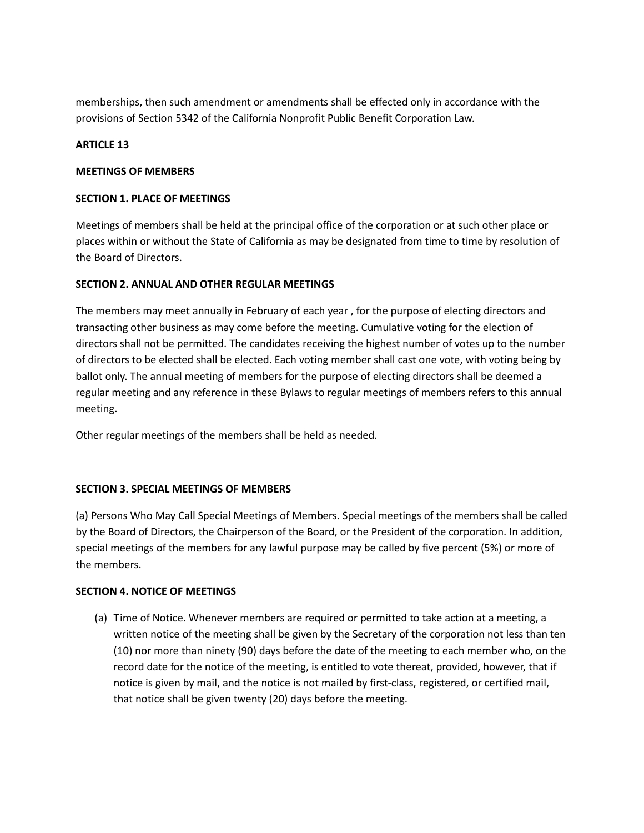memberships, then such amendment or amendments shall be effected only in accordance with the provisions of Section 5342 of the California Nonprofit Public Benefit Corporation Law.

## **ARTICLE 13**

## **MEETINGS OF MEMBERS**

## **SECTION 1. PLACE OF MEETINGS**

Meetings of members shall be held at the principal office of the corporation or at such other place or places within or without the State of California as may be designated from time to time by resolution of the Board of Directors.

## **SECTION 2. ANNUAL AND OTHER REGULAR MEETINGS**

The members may meet annually in February of each year , for the purpose of electing directors and transacting other business as may come before the meeting. Cumulative voting for the election of directors shall not be permitted. The candidates receiving the highest number of votes up to the number of directors to be elected shall be elected. Each voting member shall cast one vote, with voting being by ballot only. The annual meeting of members for the purpose of electing directors shall be deemed a regular meeting and any reference in these Bylaws to regular meetings of members refers to this annual meeting.

Other regular meetings of the members shall be held as needed.

## **SECTION 3. SPECIAL MEETINGS OF MEMBERS**

(a) Persons Who May Call Special Meetings of Members. Special meetings of the members shall be called by the Board of Directors, the Chairperson of the Board, or the President of the corporation. In addition, special meetings of the members for any lawful purpose may be called by five percent (5%) or more of the members.

## **SECTION 4. NOTICE OF MEETINGS**

(a) Time of Notice. Whenever members are required or permitted to take action at a meeting, a written notice of the meeting shall be given by the Secretary of the corporation not less than ten (10) nor more than ninety (90) days before the date of the meeting to each member who, on the record date for the notice of the meeting, is entitled to vote thereat, provided, however, that if notice is given by mail, and the notice is not mailed by first-class, registered, or certified mail, that notice shall be given twenty (20) days before the meeting.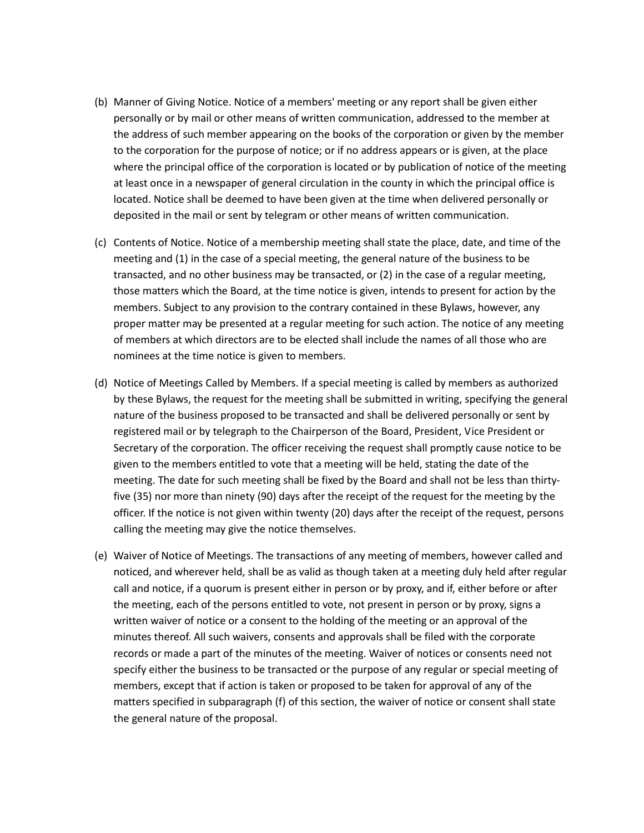- (b) Manner of Giving Notice. Notice of a members' meeting or any report shall be given either personally or by mail or other means of written communication, addressed to the member at the address of such member appearing on the books of the corporation or given by the member to the corporation for the purpose of notice; or if no address appears or is given, at the place where the principal office of the corporation is located or by publication of notice of the meeting at least once in a newspaper of general circulation in the county in which the principal office is located. Notice shall be deemed to have been given at the time when delivered personally or deposited in the mail or sent by telegram or other means of written communication.
- (c) Contents of Notice. Notice of a membership meeting shall state the place, date, and time of the meeting and (1) in the case of a special meeting, the general nature of the business to be transacted, and no other business may be transacted, or (2) in the case of a regular meeting, those matters which the Board, at the time notice is given, intends to present for action by the members. Subject to any provision to the contrary contained in these Bylaws, however, any proper matter may be presented at a regular meeting for such action. The notice of any meeting of members at which directors are to be elected shall include the names of all those who are nominees at the time notice is given to members.
- (d) Notice of Meetings Called by Members. If a special meeting is called by members as authorized by these Bylaws, the request for the meeting shall be submitted in writing, specifying the general nature of the business proposed to be transacted and shall be delivered personally or sent by registered mail or by telegraph to the Chairperson of the Board, President, Vice President or Secretary of the corporation. The officer receiving the request shall promptly cause notice to be given to the members entitled to vote that a meeting will be held, stating the date of the meeting. The date for such meeting shall be fixed by the Board and shall not be less than thirtyfive (35) nor more than ninety (90) days after the receipt of the request for the meeting by the officer. If the notice is not given within twenty (20) days after the receipt of the request, persons calling the meeting may give the notice themselves.
- (e) Waiver of Notice of Meetings. The transactions of any meeting of members, however called and noticed, and wherever held, shall be as valid as though taken at a meeting duly held after regular call and notice, if a quorum is present either in person or by proxy, and if, either before or after the meeting, each of the persons entitled to vote, not present in person or by proxy, signs a written waiver of notice or a consent to the holding of the meeting or an approval of the minutes thereof. All such waivers, consents and approvals shall be filed with the corporate records or made a part of the minutes of the meeting. Waiver of notices or consents need not specify either the business to be transacted or the purpose of any regular or special meeting of members, except that if action is taken or proposed to be taken for approval of any of the matters specified in subparagraph (f) of this section, the waiver of notice or consent shall state the general nature of the proposal.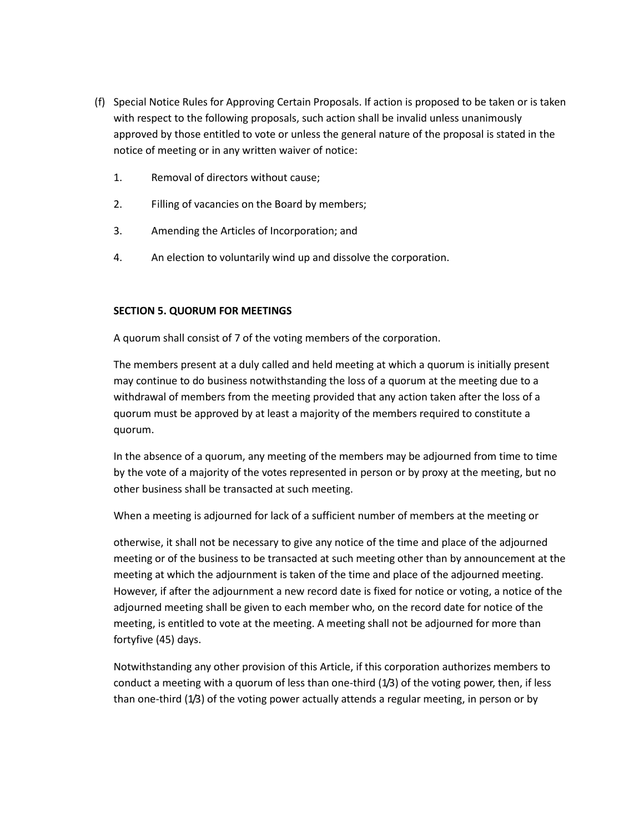- (f) Special Notice Rules for Approving Certain Proposals. If action is proposed to be taken or is taken with respect to the following proposals, such action shall be invalid unless unanimously approved by those entitled to vote or unless the general nature of the proposal is stated in the notice of meeting or in any written waiver of notice:
	- 1. Removal of directors without cause;
	- 2. Filling of vacancies on the Board by members;
	- 3. Amending the Articles of Incorporation; and
	- 4. An election to voluntarily wind up and dissolve the corporation.

## **SECTION 5. QUORUM FOR MEETINGS**

A quorum shall consist of 7 of the voting members of the corporation.

The members present at a duly called and held meeting at which a quorum is initially present may continue to do business notwithstanding the loss of a quorum at the meeting due to a withdrawal of members from the meeting provided that any action taken after the loss of a quorum must be approved by at least a majority of the members required to constitute a quorum.

In the absence of a quorum, any meeting of the members may be adjourned from time to time by the vote of a majority of the votes represented in person or by proxy at the meeting, but no other business shall be transacted at such meeting.

When a meeting is adjourned for lack of a sufficient number of members at the meeting or

otherwise, it shall not be necessary to give any notice of the time and place of the adjourned meeting or of the business to be transacted at such meeting other than by announcement at the meeting at which the adjournment is taken of the time and place of the adjourned meeting. However, if after the adjournment a new record date is fixed for notice or voting, a notice of the adjourned meeting shall be given to each member who, on the record date for notice of the meeting, is entitled to vote at the meeting. A meeting shall not be adjourned for more than fortyfive (45) days.

Notwithstanding any other provision of this Article, if this corporation authorizes members to conduct a meeting with a quorum of less than one-third (1/3) of the voting power, then, if less than one-third (1/3) of the voting power actually attends a regular meeting, in person or by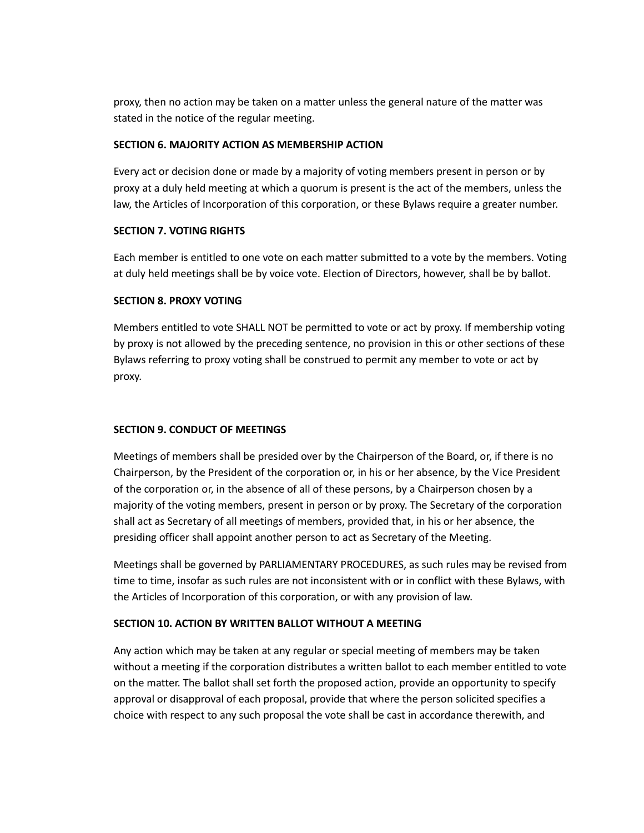proxy, then no action may be taken on a matter unless the general nature of the matter was stated in the notice of the regular meeting.

## **SECTION 6. MAJORITY ACTION AS MEMBERSHIP ACTION**

Every act or decision done or made by a majority of voting members present in person or by proxy at a duly held meeting at which a quorum is present is the act of the members, unless the law, the Articles of Incorporation of this corporation, or these Bylaws require a greater number.

## **SECTION 7. VOTING RIGHTS**

Each member is entitled to one vote on each matter submitted to a vote by the members. Voting at duly held meetings shall be by voice vote. Election of Directors, however, shall be by ballot.

## **SECTION 8. PROXY VOTING**

Members entitled to vote SHALL NOT be permitted to vote or act by proxy. If membership voting by proxy is not allowed by the preceding sentence, no provision in this or other sections of these Bylaws referring to proxy voting shall be construed to permit any member to vote or act by proxy.

# **SECTION 9. CONDUCT OF MEETINGS**

Meetings of members shall be presided over by the Chairperson of the Board, or, if there is no Chairperson, by the President of the corporation or, in his or her absence, by the Vice President of the corporation or, in the absence of all of these persons, by a Chairperson chosen by a majority of the voting members, present in person or by proxy. The Secretary of the corporation shall act as Secretary of all meetings of members, provided that, in his or her absence, the presiding officer shall appoint another person to act as Secretary of the Meeting.

Meetings shall be governed by PARLIAMENTARY PROCEDURES, as such rules may be revised from time to time, insofar as such rules are not inconsistent with or in conflict with these Bylaws, with the Articles of Incorporation of this corporation, or with any provision of law.

# **SECTION 10. ACTION BY WRITTEN BALLOT WITHOUT A MEETING**

Any action which may be taken at any regular or special meeting of members may be taken without a meeting if the corporation distributes a written ballot to each member entitled to vote on the matter. The ballot shall set forth the proposed action, provide an opportunity to specify approval or disapproval of each proposal, provide that where the person solicited specifies a choice with respect to any such proposal the vote shall be cast in accordance therewith, and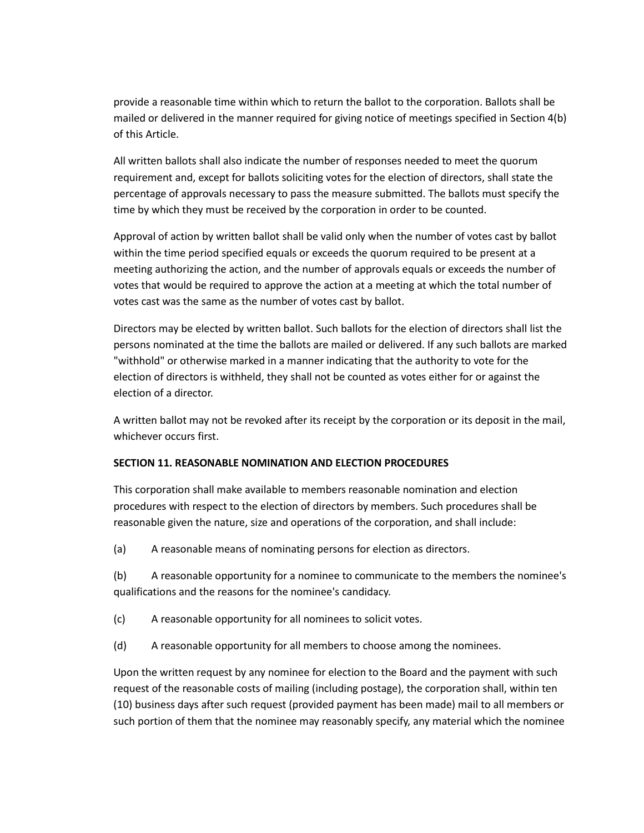provide a reasonable time within which to return the ballot to the corporation. Ballots shall be mailed or delivered in the manner required for giving notice of meetings specified in Section 4(b) of this Article.

All written ballots shall also indicate the number of responses needed to meet the quorum requirement and, except for ballots soliciting votes for the election of directors, shall state the percentage of approvals necessary to pass the measure submitted. The ballots must specify the time by which they must be received by the corporation in order to be counted.

Approval of action by written ballot shall be valid only when the number of votes cast by ballot within the time period specified equals or exceeds the quorum required to be present at a meeting authorizing the action, and the number of approvals equals or exceeds the number of votes that would be required to approve the action at a meeting at which the total number of votes cast was the same as the number of votes cast by ballot.

Directors may be elected by written ballot. Such ballots for the election of directors shall list the persons nominated at the time the ballots are mailed or delivered. If any such ballots are marked "withhold" or otherwise marked in a manner indicating that the authority to vote for the election of directors is withheld, they shall not be counted as votes either for or against the election of a director.

A written ballot may not be revoked after its receipt by the corporation or its deposit in the mail, whichever occurs first.

## **SECTION 11. REASONABLE NOMINATION AND ELECTION PROCEDURES**

This corporation shall make available to members reasonable nomination and election procedures with respect to the election of directors by members. Such procedures shall be reasonable given the nature, size and operations of the corporation, and shall include:

(a) A reasonable means of nominating persons for election as directors.

(b) A reasonable opportunity for a nominee to communicate to the members the nominee's qualifications and the reasons for the nominee's candidacy.

(c) A reasonable opportunity for all nominees to solicit votes.

(d) A reasonable opportunity for all members to choose among the nominees.

Upon the written request by any nominee for election to the Board and the payment with such request of the reasonable costs of mailing (including postage), the corporation shall, within ten (10) business days after such request (provided payment has been made) mail to all members or such portion of them that the nominee may reasonably specify, any material which the nominee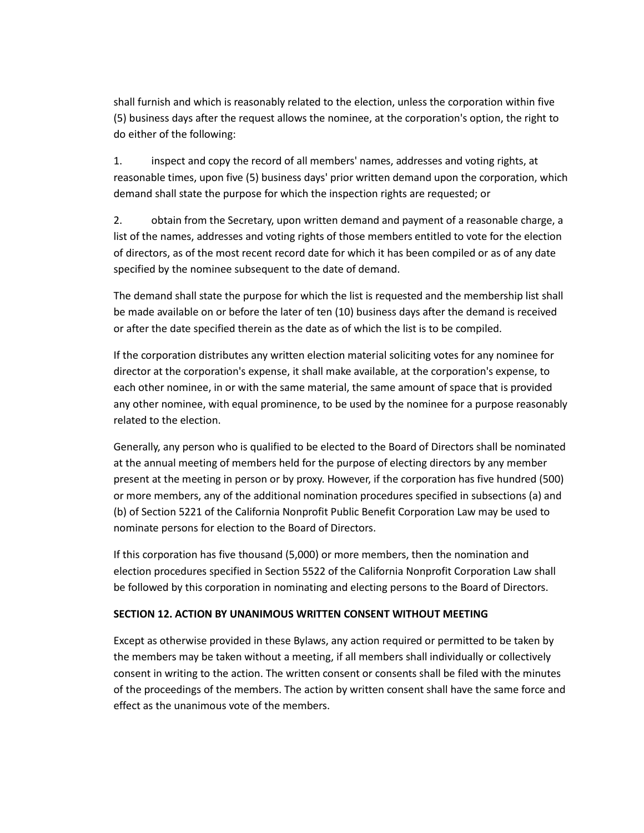shall furnish and which is reasonably related to the election, unless the corporation within five (5) business days after the request allows the nominee, at the corporation's option, the right to do either of the following:

1. inspect and copy the record of all members' names, addresses and voting rights, at reasonable times, upon five (5) business days' prior written demand upon the corporation, which demand shall state the purpose for which the inspection rights are requested; or

2. obtain from the Secretary, upon written demand and payment of a reasonable charge, a list of the names, addresses and voting rights of those members entitled to vote for the election of directors, as of the most recent record date for which it has been compiled or as of any date specified by the nominee subsequent to the date of demand.

The demand shall state the purpose for which the list is requested and the membership list shall be made available on or before the later of ten (10) business days after the demand is received or after the date specified therein as the date as of which the list is to be compiled.

If the corporation distributes any written election material soliciting votes for any nominee for director at the corporation's expense, it shall make available, at the corporation's expense, to each other nominee, in or with the same material, the same amount of space that is provided any other nominee, with equal prominence, to be used by the nominee for a purpose reasonably related to the election.

Generally, any person who is qualified to be elected to the Board of Directors shall be nominated at the annual meeting of members held for the purpose of electing directors by any member present at the meeting in person or by proxy. However, if the corporation has five hundred (500) or more members, any of the additional nomination procedures specified in subsections (a) and (b) of Section 5221 of the California Nonprofit Public Benefit Corporation Law may be used to nominate persons for election to the Board of Directors.

If this corporation has five thousand (5,000) or more members, then the nomination and election procedures specified in Section 5522 of the California Nonprofit Corporation Law shall be followed by this corporation in nominating and electing persons to the Board of Directors.

## **SECTION 12. ACTION BY UNANIMOUS WRITTEN CONSENT WITHOUT MEETING**

Except as otherwise provided in these Bylaws, any action required or permitted to be taken by the members may be taken without a meeting, if all members shall individually or collectively consent in writing to the action. The written consent or consents shall be filed with the minutes of the proceedings of the members. The action by written consent shall have the same force and effect as the unanimous vote of the members.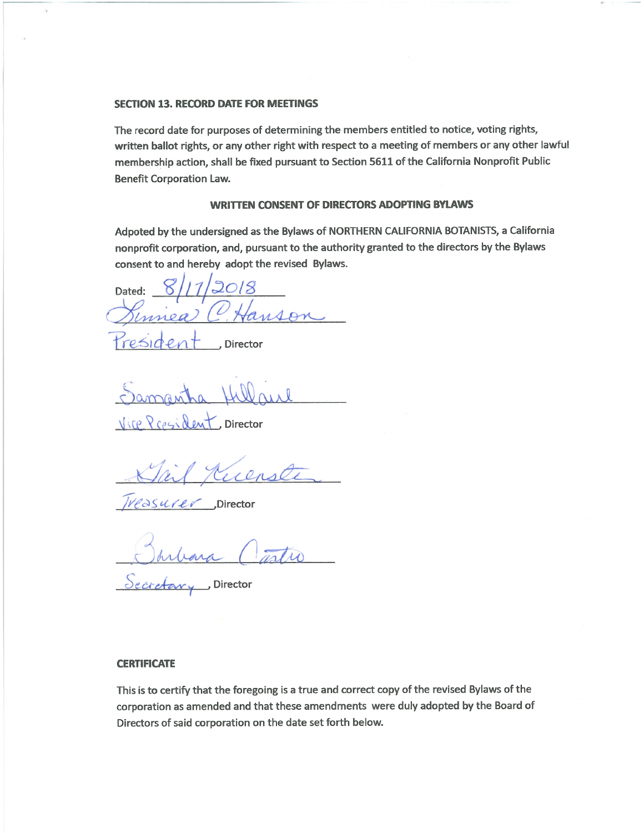#### **SECTION 13. RECORD DATE FOR MEETINGS**

The record date for purposes of determining the members entitled to notice, voting rights, written ballot rights, or any other right with respect to a meeting of members or any other lawful membership action, shall be fixed pursuant to Section 5611 of the California Nonprofit Public **Benefit Corporation Law.** 

#### **WRITTEN CONSENT OF DIRECTORS ADOPTING BYLAWS**

Adpoted by the undersigned as the Bylaws of NORTHERN CALIFORNIA BOTANISTS, a California nonprofit corporation, and, pursuant to the authority granted to the directors by the Bylaws consent to and hereby adopt the revised Bylaws.

Dated: mea)

Director

. Director

SSURRY ,Director

, Director

#### **CERTIFICATE**

This is to certify that the foregoing is a true and correct copy of the revised Bylaws of the corporation as amended and that these amendments were duly adopted by the Board of Directors of said corporation on the date set forth below.